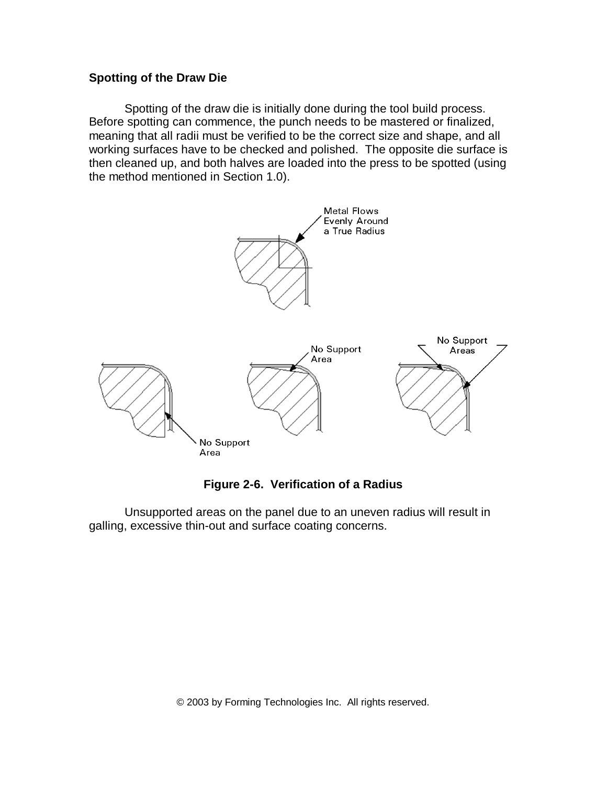## **Spotting of the Draw Die**

Spotting of the draw die is initially done during the tool build process. Before spotting can commence, the punch needs to be mastered or finalized, meaning that all radii must be verified to be the correct size and shape, and all working surfaces have to be checked and polished. The opposite die surface is then cleaned up, and both halves are loaded into the press to be spotted (using the method mentioned in Section 1.0).



## **Figure 2-6. Verification of a Radius**

Unsupported areas on the panel due to an uneven radius will result in galling, excessive thin-out and surface coating concerns.